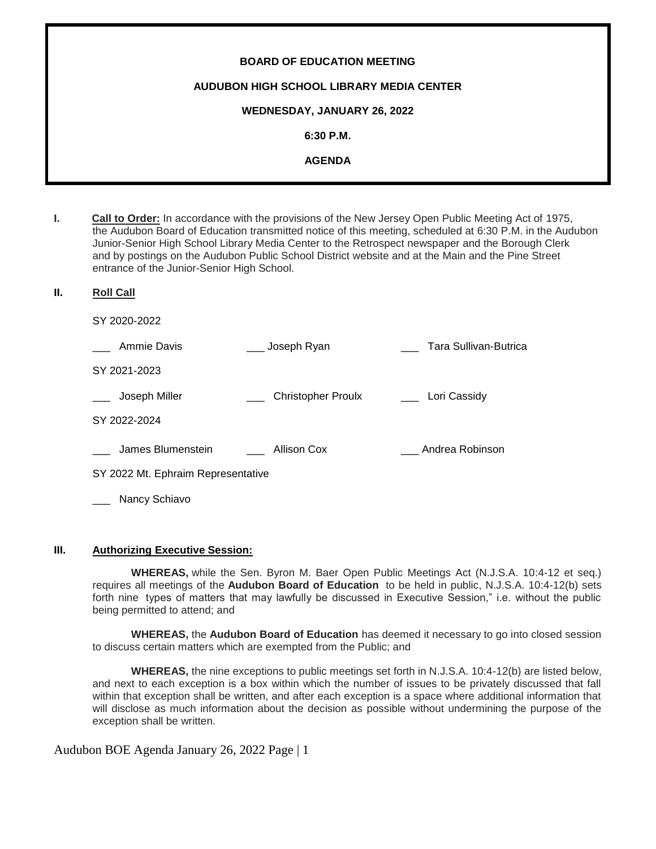# **BOARD OF EDUCATION MEETING AUDUBON HIGH SCHOOL LIBRARY MEDIA CENTER WEDNESDAY, JANUARY 26, 2022 6:30 P.M. AGENDA**

**I. Call to Order:** In accordance with the provisions of the New Jersey Open Public Meeting Act of 1975, the Audubon Board of Education transmitted notice of this meeting, scheduled at 6:30 P.M. in the Audubon Junior-Senior High School Library Media Center to the Retrospect newspaper and the Borough Clerk and by postings on the Audubon Public School District website and at the Main and the Pine Street entrance of the Junior-Senior High School.

#### **II. Roll Call**

SY 2020-2022

| Ammie Davis                        | Joseph Ryan               | Tara Sullivan-Butrica |
|------------------------------------|---------------------------|-----------------------|
| SY 2021-2023                       |                           |                       |
| Joseph Miller                      | <b>Christopher Proulx</b> | Lori Cassidy          |
| SY 2022-2024                       |                           |                       |
| James Blumenstein                  | Allison Cox               | Andrea Robinson       |
| SY 2022 Mt. Ephraim Representative |                           |                       |
| Nancy Schiavo                      |                           |                       |

#### **III. Authorizing Executive Session:**

**WHEREAS,** while the Sen. Byron M. Baer Open Public Meetings Act (N.J.S.A. 10:4-12 et seq.) requires all meetings of the **Audubon Board of Education** to be held in public, N.J.S.A. 10:4-12(b) sets forth nine types of matters that may lawfully be discussed in Executive Session," i.e. without the public being permitted to attend; and

**WHEREAS,** the **Audubon Board of Education** has deemed it necessary to go into closed session to discuss certain matters which are exempted from the Public; and

**WHEREAS,** the nine exceptions to public meetings set forth in N.J.S.A. 10:4-12(b) are listed below, and next to each exception is a box within which the number of issues to be privately discussed that fall within that exception shall be written, and after each exception is a space where additional information that will disclose as much information about the decision as possible without undermining the purpose of the exception shall be written.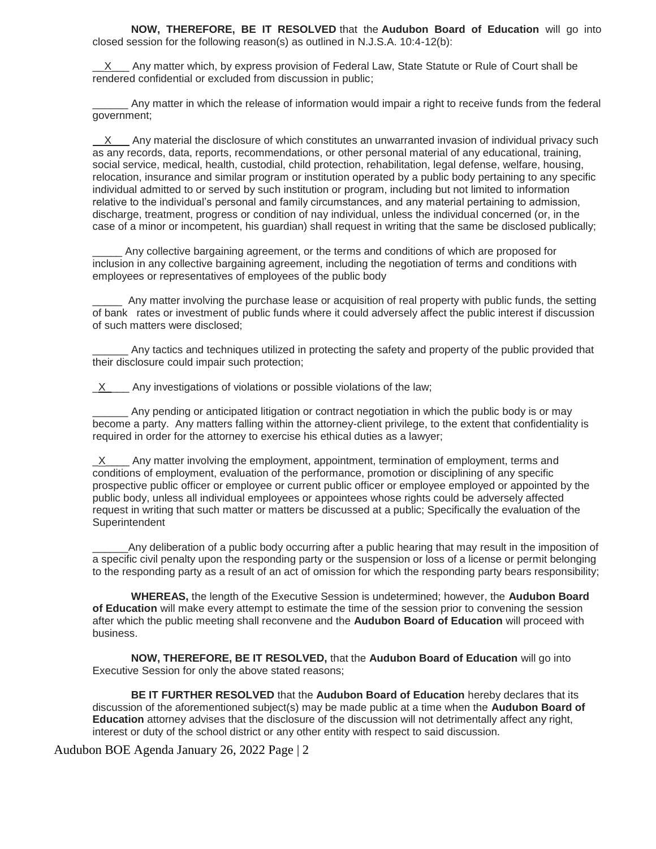**NOW, THEREFORE, BE IT RESOLVED** that the **Audubon Board of Education** will go into closed session for the following reason(s) as outlined in N.J.S.A. 10:4-12(b):

X Any matter which, by express provision of Federal Law, State Statute or Rule of Court shall be rendered confidential or excluded from discussion in public;

Any matter in which the release of information would impair a right to receive funds from the federal government;

 $\underline{X}$  Any material the disclosure of which constitutes an unwarranted invasion of individual privacy such as any records, data, reports, recommendations, or other personal material of any educational, training, social service, medical, health, custodial, child protection, rehabilitation, legal defense, welfare, housing, relocation, insurance and similar program or institution operated by a public body pertaining to any specific individual admitted to or served by such institution or program, including but not limited to information relative to the individual's personal and family circumstances, and any material pertaining to admission, discharge, treatment, progress or condition of nay individual, unless the individual concerned (or, in the case of a minor or incompetent, his guardian) shall request in writing that the same be disclosed publically;

Any collective bargaining agreement, or the terms and conditions of which are proposed for inclusion in any collective bargaining agreement, including the negotiation of terms and conditions with employees or representatives of employees of the public body

\_\_\_\_\_ Any matter involving the purchase lease or acquisition of real property with public funds, the setting of bank rates or investment of public funds where it could adversely affect the public interest if discussion of such matters were disclosed;

Any tactics and techniques utilized in protecting the safety and property of the public provided that their disclosure could impair such protection;

X Any investigations of violations or possible violations of the law;

Any pending or anticipated litigation or contract negotiation in which the public body is or may become a party. Any matters falling within the attorney-client privilege, to the extent that confidentiality is required in order for the attorney to exercise his ethical duties as a lawyer;

 $X$  Any matter involving the employment, appointment, termination of employment, terms and conditions of employment, evaluation of the performance, promotion or disciplining of any specific prospective public officer or employee or current public officer or employee employed or appointed by the public body, unless all individual employees or appointees whose rights could be adversely affected request in writing that such matter or matters be discussed at a public; Specifically the evaluation of the **Superintendent** 

Any deliberation of a public body occurring after a public hearing that may result in the imposition of a specific civil penalty upon the responding party or the suspension or loss of a license or permit belonging to the responding party as a result of an act of omission for which the responding party bears responsibility;

**WHEREAS,** the length of the Executive Session is undetermined; however, the **Audubon Board of Education** will make every attempt to estimate the time of the session prior to convening the session after which the public meeting shall reconvene and the **Audubon Board of Education** will proceed with business.

**NOW, THEREFORE, BE IT RESOLVED,** that the **Audubon Board of Education** will go into Executive Session for only the above stated reasons;

**BE IT FURTHER RESOLVED** that the **Audubon Board of Education** hereby declares that its discussion of the aforementioned subject(s) may be made public at a time when the **Audubon Board of Education** attorney advises that the disclosure of the discussion will not detrimentally affect any right, interest or duty of the school district or any other entity with respect to said discussion.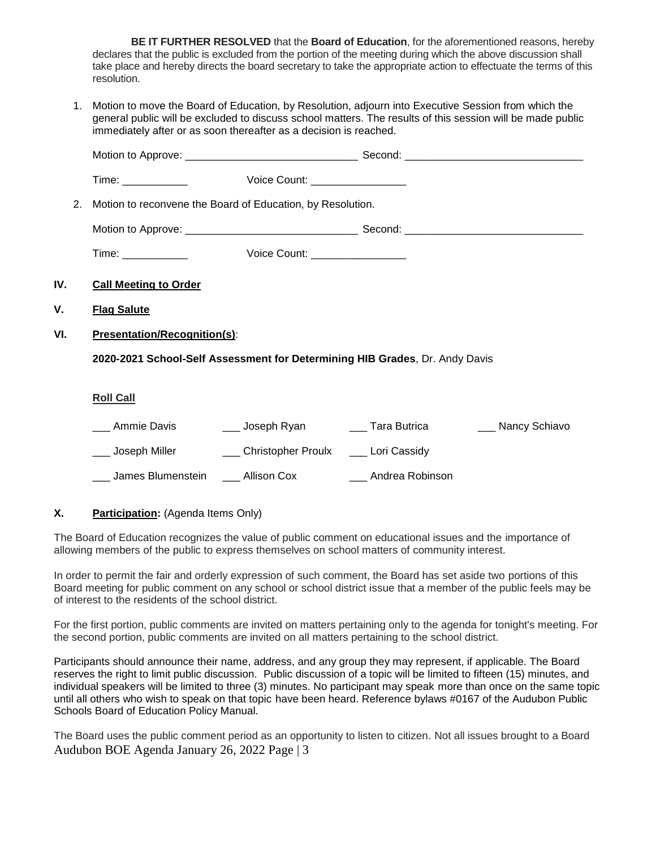**BE IT FURTHER RESOLVED** that the **Board of Education**, for the aforementioned reasons, hereby declares that the public is excluded from the portion of the meeting during which the above discussion shall take place and hereby directs the board secretary to take the appropriate action to effectuate the terms of this resolution.

1. Motion to move the Board of Education, by Resolution, adjourn into Executive Session from which the general public will be excluded to discuss school matters. The results of this session will be made public immediately after or as soon thereafter as a decision is reached.

| 2.  | Motion to reconvene the Board of Education, by Resolution. |                                                                                                                |  |
|-----|------------------------------------------------------------|----------------------------------------------------------------------------------------------------------------|--|
|     |                                                            |                                                                                                                |  |
|     |                                                            |                                                                                                                |  |
| IV. | <b>Call Meeting to Order</b>                               |                                                                                                                |  |
| ۷.  | <b>Flag Salute</b>                                         |                                                                                                                |  |
| VI. | <b>Presentation/Recognition(s):</b>                        |                                                                                                                |  |
|     |                                                            | 2020-2021 School-Self Assessment for Determining HIB Grades, Dr. Andy Davis                                    |  |
|     | <b>Roll Call</b>                                           |                                                                                                                |  |
|     | __ Ammie Davis                                             | Loseph Ryan Loseph Ryan Communication Control of Tara Butrica Loseph Ryan Communication Control of New York Co |  |
|     |                                                            | ___ Joseph Miller _________ Christopher Proulx _____ Lori Cassidy                                              |  |
|     |                                                            | ___ James Blumenstein ____ Allison Cox ____ ____ Andrea Robinson                                               |  |
|     |                                                            |                                                                                                                |  |

# **X. Participation:** (Agenda Items Only)

The Board of Education recognizes the value of public comment on educational issues and the importance of allowing members of the public to express themselves on school matters of community interest.

In order to permit the fair and orderly expression of such comment, the Board has set aside two portions of this Board meeting for public comment on any school or school district issue that a member of the public feels may be of interest to the residents of the school district.

For the first portion, public comments are invited on matters pertaining only to the agenda for tonight's meeting. For the second portion, public comments are invited on all matters pertaining to the school district.

Participants should announce their name, address, and any group they may represent, if applicable. The Board reserves the right to limit public discussion. Public discussion of a topic will be limited to fifteen (15) minutes, and individual speakers will be limited to three (3) minutes. No participant may speak more than once on the same topic until all others who wish to speak on that topic have been heard. Reference bylaws #0167 of the Audubon Public Schools Board of Education Policy Manual.

Audubon BOE Agenda January 26, 2022 Page | 3 The Board uses the public comment period as an opportunity to listen to citizen. Not all issues brought to a Board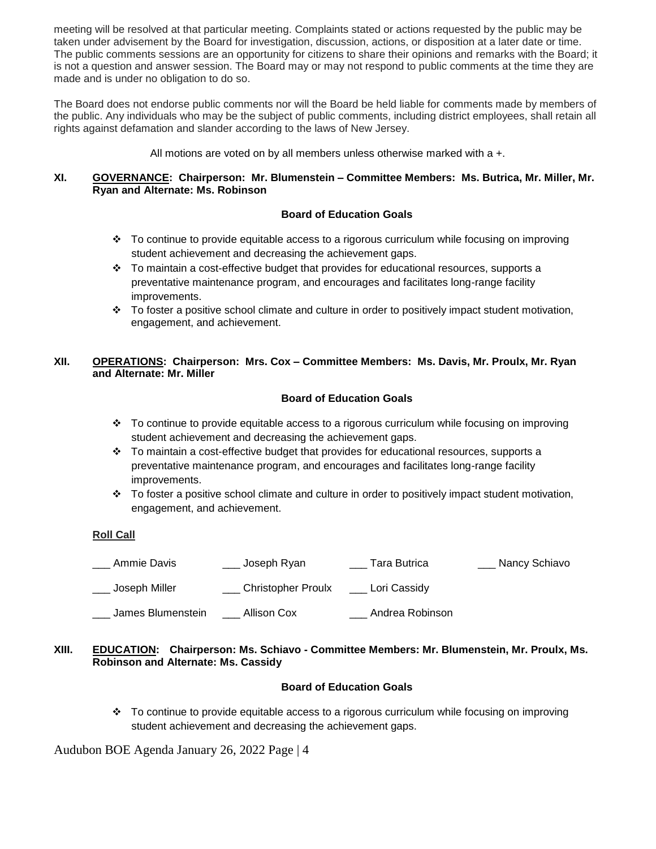meeting will be resolved at that particular meeting. Complaints stated or actions requested by the public may be taken under advisement by the Board for investigation, discussion, actions, or disposition at a later date or time. The public comments sessions are an opportunity for citizens to share their opinions and remarks with the Board; it is not a question and answer session. The Board may or may not respond to public comments at the time they are made and is under no obligation to do so.

The Board does not endorse public comments nor will the Board be held liable for comments made by members of the public. Any individuals who may be the subject of public comments, including district employees, shall retain all rights against defamation and slander according to the laws of New Jersey.

All motions are voted on by all members unless otherwise marked with a +.

## **XI. GOVERNANCE: Chairperson: Mr. Blumenstein – Committee Members: Ms. Butrica, Mr. Miller, Mr. Ryan and Alternate: Ms. Robinson**

# **Board of Education Goals**

- $\div$  To continue to provide equitable access to a rigorous curriculum while focusing on improving student achievement and decreasing the achievement gaps.
- $\div$  To maintain a cost-effective budget that provides for educational resources, supports a preventative maintenance program, and encourages and facilitates long-range facility improvements.
- $\cdot \cdot$  To foster a positive school climate and culture in order to positively impact student motivation, engagement, and achievement.

## **XII. OPERATIONS: Chairperson: Mrs. Cox – Committee Members: Ms. Davis, Mr. Proulx, Mr. Ryan and Alternate: Mr. Miller**

## **Board of Education Goals**

- To continue to provide equitable access to a rigorous curriculum while focusing on improving student achievement and decreasing the achievement gaps.
- $\div$  To maintain a cost-effective budget that provides for educational resources, supports a preventative maintenance program, and encourages and facilitates long-range facility improvements.
- To foster a positive school climate and culture in order to positively impact student motivation, engagement, and achievement.

#### **Roll Call**

| Ammie Davis       | Joseph Ryan               | Tara Butrica    | Nancy Schiavo |
|-------------------|---------------------------|-----------------|---------------|
| Joseph Miller     | <b>Christopher Proulx</b> | Lori Cassidy    |               |
| James Blumenstein | Allison Cox               | Andrea Robinson |               |

## **XIII. EDUCATION: Chairperson: Ms. Schiavo - Committee Members: Mr. Blumenstein, Mr. Proulx, Ms. Robinson and Alternate: Ms. Cassidy**

## **Board of Education Goals**

 To continue to provide equitable access to a rigorous curriculum while focusing on improving student achievement and decreasing the achievement gaps.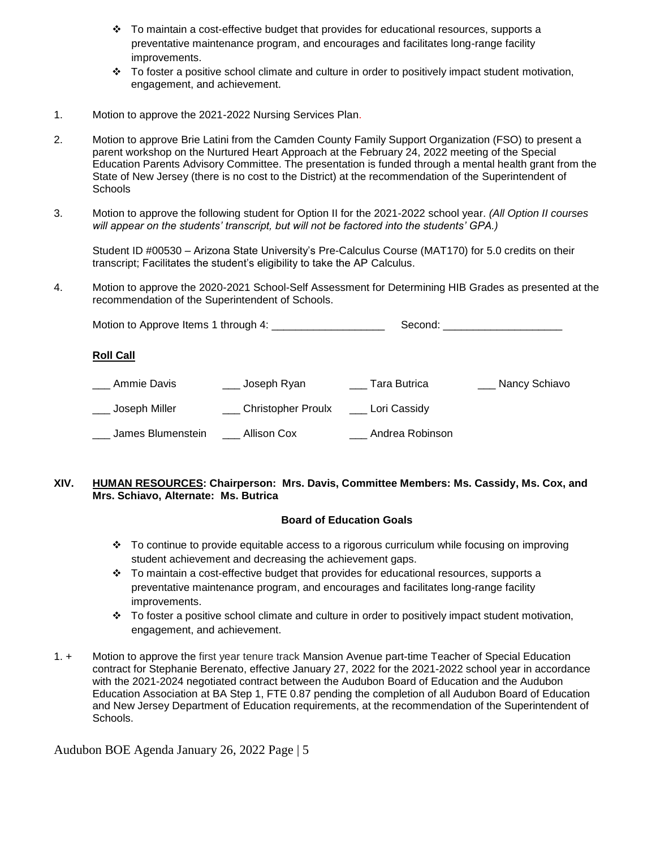- $\div$  To maintain a cost-effective budget that provides for educational resources, supports a preventative maintenance program, and encourages and facilitates long-range facility improvements.
- $\cdot \cdot$  To foster a positive school climate and culture in order to positively impact student motivation, engagement, and achievement.
- 1. Motion to approve the 2021-2022 Nursing Services Plan.
- 2. Motion to approve Brie Latini from the Camden County Family Support Organization (FSO) to present a parent workshop on the Nurtured Heart Approach at the February 24, 2022 meeting of the Special Education Parents Advisory Committee. The presentation is funded through a mental health grant from the State of New Jersey (there is no cost to the District) at the recommendation of the Superintendent of **Schools**
- 3. Motion to approve the following student for Option II for the 2021-2022 school year. *(All Option II courses will appear on the students' transcript, but will not be factored into the students' GPA.)*

Student ID #00530 – Arizona State University's Pre-Calculus Course (MAT170) for 5.0 credits on their transcript; Facilitates the student's eligibility to take the AP Calculus.

4. Motion to approve the 2020-2021 School-Self Assessment for Determining HIB Grades as presented at the recommendation of the Superintendent of Schools.

Motion to Approve Items 1 through 4: \_\_\_\_\_\_\_\_\_\_\_\_\_\_\_\_\_\_\_ Second: \_\_\_\_\_\_\_\_\_\_\_\_\_\_\_\_\_\_\_\_

## **Roll Call**

| Ammie Davis       | <sub>-</sub> Joseph Ryan | Tara Butrica    | Nancy Schiavo |
|-------------------|--------------------------|-----------------|---------------|
| Joseph Miller     | Christopher Proulx       | Lori Cassidy    |               |
| James Blumenstein | Allison Cox              | Andrea Robinson |               |

## **XIV. HUMAN RESOURCES: Chairperson: Mrs. Davis, Committee Members: Ms. Cassidy, Ms. Cox, and Mrs. Schiavo, Alternate: Ms. Butrica**

## **Board of Education Goals**

- $\cdot$  To continue to provide equitable access to a rigorous curriculum while focusing on improving student achievement and decreasing the achievement gaps.
- $\div$  To maintain a cost-effective budget that provides for educational resources, supports a preventative maintenance program, and encourages and facilitates long-range facility improvements.
- $\cdot \cdot$  To foster a positive school climate and culture in order to positively impact student motivation, engagement, and achievement.
- 1. + Motion to approve the first year tenure track Mansion Avenue part-time Teacher of Special Education contract for Stephanie Berenato, effective January 27, 2022 for the 2021-2022 school year in accordance with the 2021-2024 negotiated contract between the Audubon Board of Education and the Audubon Education Association at BA Step 1, FTE 0.87 pending the completion of all Audubon Board of Education and New Jersey Department of Education requirements, at the recommendation of the Superintendent of Schools.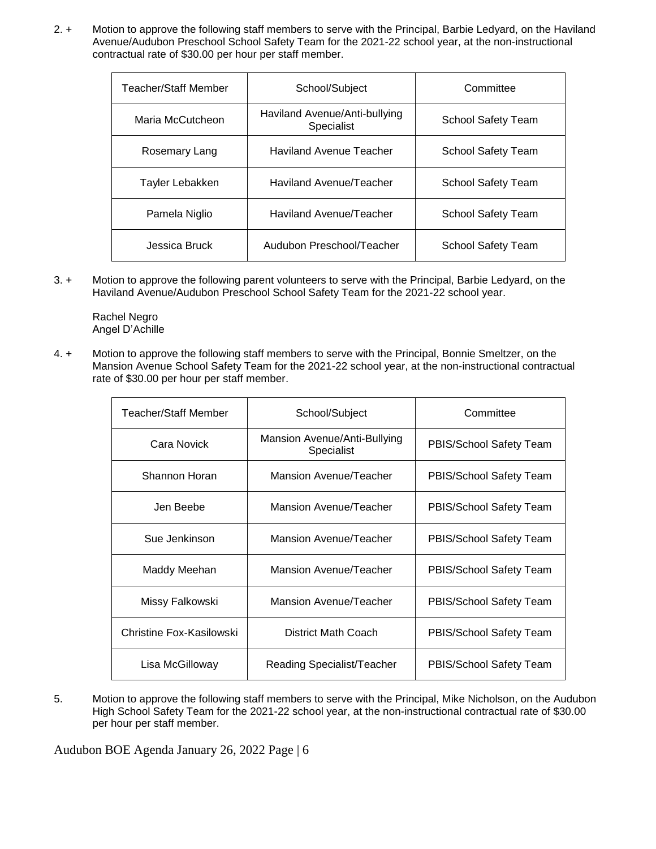2. + Motion to approve the following staff members to serve with the Principal, Barbie Ledyard, on the Haviland Avenue/Audubon Preschool School Safety Team for the 2021-22 school year, at the non-instructional contractual rate of \$30.00 per hour per staff member.

| Teacher/Staff Member | School/Subject                              | Committee                 |
|----------------------|---------------------------------------------|---------------------------|
| Maria McCutcheon     | Haviland Avenue/Anti-bullying<br>Specialist | <b>School Safety Team</b> |
| Rosemary Lang        | <b>Haviland Avenue Teacher</b>              | School Safety Team        |
| Tayler Lebakken      | Haviland Avenue/Teacher                     | <b>School Safety Team</b> |
| Pamela Niglio        | Haviland Avenue/Teacher                     | <b>School Safety Team</b> |
| Jessica Bruck        | Audubon Preschool/Teacher                   | <b>School Safety Team</b> |

3. + Motion to approve the following parent volunteers to serve with the Principal, Barbie Ledyard, on the Haviland Avenue/Audubon Preschool School Safety Team for the 2021-22 school year.

Rachel Negro Angel D'Achille

4. + Motion to approve the following staff members to serve with the Principal, Bonnie Smeltzer, on the Mansion Avenue School Safety Team for the 2021-22 school year, at the non-instructional contractual rate of \$30.00 per hour per staff member.

| Teacher/Staff Member     | School/Subject                             | Committee               |
|--------------------------|--------------------------------------------|-------------------------|
| Cara Novick              | Mansion Avenue/Anti-Bullying<br>Specialist | PBIS/School Safety Team |
| Shannon Horan            | <b>Mansion Avenue/Teacher</b>              | PBIS/School Safety Team |
| Jen Beebe                | <b>Mansion Avenue/Teacher</b>              | PBIS/School Safety Team |
| Sue Jenkinson            | Mansion Avenue/Teacher                     | PBIS/School Safety Team |
| Maddy Meehan             | Mansion Avenue/Teacher                     | PBIS/School Safety Team |
| Missy Falkowski          | <b>Mansion Avenue/Teacher</b>              | PBIS/School Safety Team |
| Christine Fox-Kasilowski | District Math Coach                        | PBIS/School Safety Team |
| Lisa McGilloway          | Reading Specialist/Teacher                 | PBIS/School Safety Team |

5. Motion to approve the following staff members to serve with the Principal, Mike Nicholson, on the Audubon High School Safety Team for the 2021-22 school year, at the non-instructional contractual rate of \$30.00 per hour per staff member.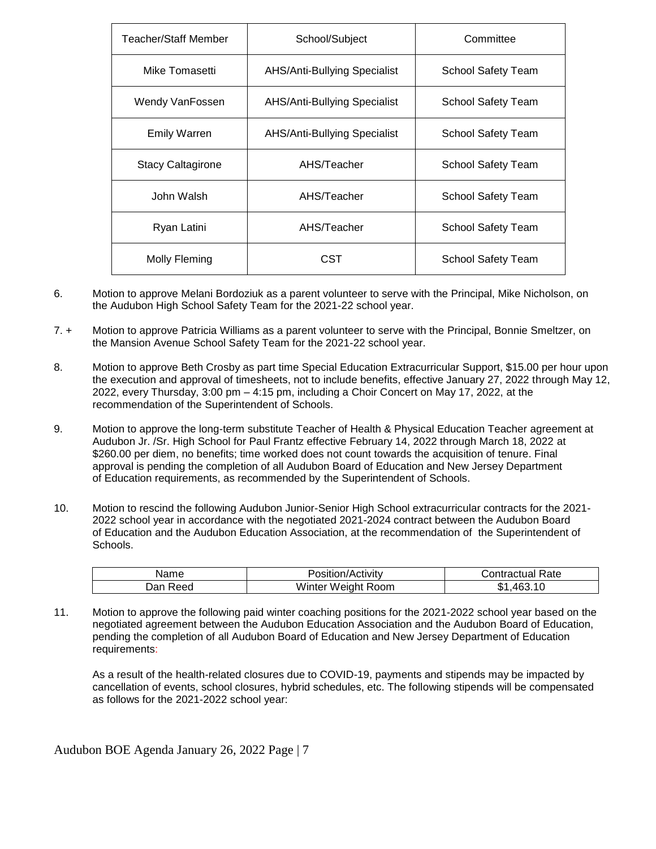| Teacher/Staff Member | School/Subject                      | Committee          |
|----------------------|-------------------------------------|--------------------|
| Mike Tomasetti       | <b>AHS/Anti-Bullying Specialist</b> | School Safety Team |
| Wendy VanFossen      | AHS/Anti-Bullying Specialist        | School Safety Team |
| <b>Emily Warren</b>  | AHS/Anti-Bullying Specialist        | School Safety Team |
| Stacy Caltagirone    | AHS/Teacher                         | School Safety Team |
| John Walsh           | AHS/Teacher                         | School Safety Team |
| Ryan Latini          | AHS/Teacher                         | School Safety Team |
| Molly Fleming        | CST                                 | School Safety Team |

- 6. Motion to approve Melani Bordoziuk as a parent volunteer to serve with the Principal, Mike Nicholson, on the Audubon High School Safety Team for the 2021-22 school year.
- 7. + Motion to approve Patricia Williams as a parent volunteer to serve with the Principal, Bonnie Smeltzer, on the Mansion Avenue School Safety Team for the 2021-22 school year.
- 8. Motion to approve Beth Crosby as part time Special Education Extracurricular Support, \$15.00 per hour upon the execution and approval of timesheets, not to include benefits, effective January 27, 2022 through May 12, 2022, every Thursday, 3:00 pm – 4:15 pm, including a Choir Concert on May 17, 2022, at the recommendation of the Superintendent of Schools.
- 9. Motion to approve the long-term substitute Teacher of Health & Physical Education Teacher agreement at Audubon Jr. /Sr. High School for Paul Frantz effective February 14, 2022 through March 18, 2022 at \$260.00 per diem, no benefits; time worked does not count towards the acquisition of tenure. Final approval is pending the completion of all Audubon Board of Education and New Jersey Department of Education requirements, as recommended by the Superintendent of Schools.
- 10. Motion to rescind the following Audubon Junior-Senior High School extracurricular contracts for the 2021- 2022 school year in accordance with the negotiated 2021-2024 contract between the Audubon Board of Education and the Audubon Education Association, at the recommendation of the Superintendent of Schools.

| vame        | osition/Activity<br>10011000 | Contractual Rate     |
|-------------|------------------------------|----------------------|
| Reed<br>Dar | Winter Weight Room           | 10<br>463<br>ጦ<br>ъ. |

11. Motion to approve the following paid winter coaching positions for the 2021-2022 school year based on the negotiated agreement between the Audubon Education Association and the Audubon Board of Education, pending the completion of all Audubon Board of Education and New Jersey Department of Education requirements:

As a result of the health-related closures due to COVID-19, payments and stipends may be impacted by cancellation of events, school closures, hybrid schedules, etc. The following stipends will be compensated as follows for the 2021-2022 school year: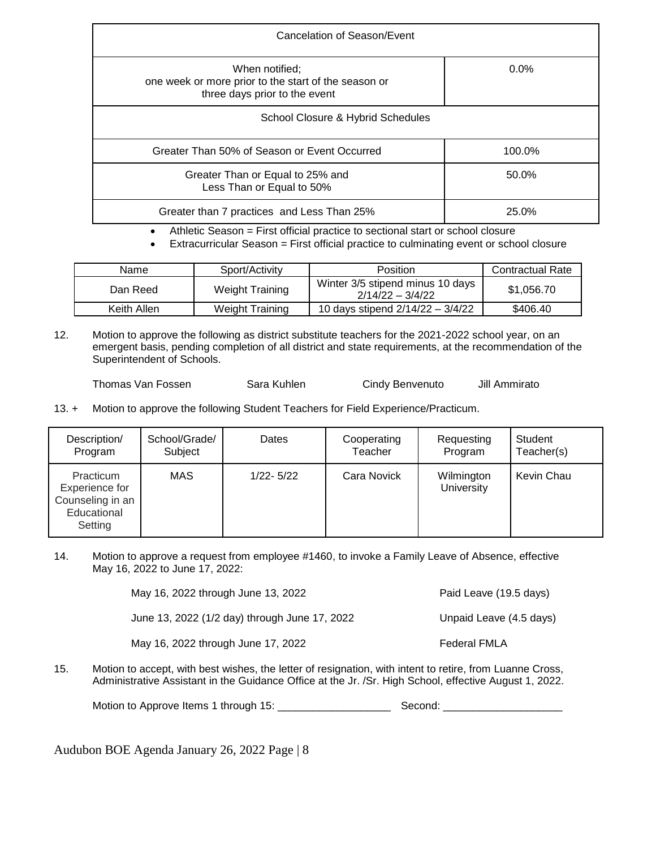| Cancelation of Season/Event                                                                             |         |  |
|---------------------------------------------------------------------------------------------------------|---------|--|
| When notified:<br>one week or more prior to the start of the season or<br>three days prior to the event | $0.0\%$ |  |
| School Closure & Hybrid Schedules                                                                       |         |  |
| Greater Than 50% of Season or Event Occurred                                                            | 100.0%  |  |
| Greater Than or Equal to 25% and<br>Less Than or Equal to 50%                                           | 50.0%   |  |
| Greater than 7 practices and Less Than 25%                                                              | 25.0%   |  |

Athletic Season = First official practice to sectional start or school closure

Extracurricular Season = First official practice to culminating event or school closure

| Name        | Sport/Activity         | <b>Position</b>                                        | <b>Contractual Rate</b> |
|-------------|------------------------|--------------------------------------------------------|-------------------------|
| Dan Reed    | <b>Weight Training</b> | Winter 3/5 stipend minus 10 days<br>$2/14/22 - 3/4/22$ | \$1,056.70              |
| Keith Allen | <b>Weight Training</b> | 10 days stipend 2/14/22 - 3/4/22                       | \$406.40                |

12. Motion to approve the following as district substitute teachers for the 2021-2022 school year, on an emergent basis, pending completion of all district and state requirements, at the recommendation of the Superintendent of Schools.

Thomas Van Fossen Sara Kuhlen Cindy Benvenuto Jill Ammirato

13. + Motion to approve the following Student Teachers for Field Experience/Practicum.

| Description/                                                              | School/Grade/ | Dates         | Cooperating | Requesting                      | Student    |
|---------------------------------------------------------------------------|---------------|---------------|-------------|---------------------------------|------------|
| Program                                                                   | Subject       |               | Teacher     | Program                         | Teacher(s) |
| Practicum<br>Experience for<br>Counseling in an<br>Educational<br>Setting | MAS           | $1/22 - 5/22$ | Cara Novick | Wilmington<br><b>University</b> | Kevin Chau |

14. Motion to approve a request from employee #1460, to invoke a Family Leave of Absence, effective May 16, 2022 to June 17, 2022:

> May 16, 2022 through June 13, 2022 **Paid Leave (19.5 days)** June 13, 2022 (1/2 day) through June 17, 2022 Unpaid Leave (4.5 days)

May 16, 2022 through June 17, 2022 Federal FMLA

15. Motion to accept, with best wishes, the letter of resignation, with intent to retire, from Luanne Cross, Administrative Assistant in the Guidance Office at the Jr. /Sr. High School, effective August 1, 2022.

Motion to Approve Items 1 through 15: \_\_\_\_\_\_\_\_\_\_\_\_\_\_\_\_\_\_\_ Second: \_\_\_\_\_\_\_\_\_\_\_\_\_\_\_\_\_\_\_\_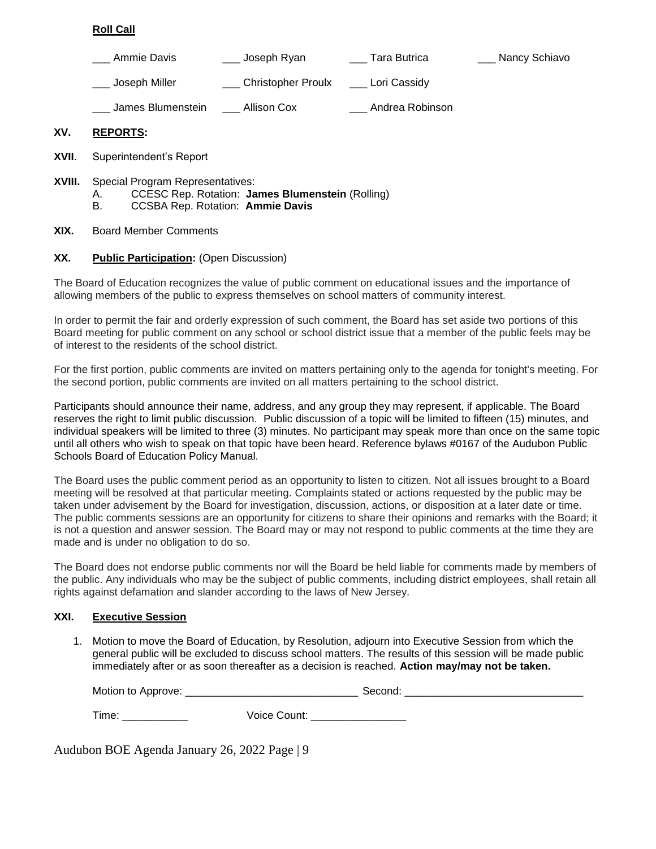## **Roll Call**

| Ammie Davis       | Joseph Ryan        | Tara Butrica    | Nancy Schiavo |
|-------------------|--------------------|-----------------|---------------|
| Joseph Miller     | Christopher Proulx | Lori Cassidy    |               |
| James Blumenstein | <b>Allison Cox</b> | Andrea Robinson |               |

## **XV. REPORTS:**

- **XVII**. Superintendent's Report
- **XVIII.** Special Program Representatives:
	- A. CCESC Rep. Rotation: **James Blumenstein** (Rolling)
	- B. CCSBA Rep. Rotation: **Ammie Davis**
- **XIX.** Board Member Comments

## **XX. Public Participation:** (Open Discussion)

The Board of Education recognizes the value of public comment on educational issues and the importance of allowing members of the public to express themselves on school matters of community interest.

In order to permit the fair and orderly expression of such comment, the Board has set aside two portions of this Board meeting for public comment on any school or school district issue that a member of the public feels may be of interest to the residents of the school district.

For the first portion, public comments are invited on matters pertaining only to the agenda for tonight's meeting. For the second portion, public comments are invited on all matters pertaining to the school district.

Participants should announce their name, address, and any group they may represent, if applicable. The Board reserves the right to limit public discussion. Public discussion of a topic will be limited to fifteen (15) minutes, and individual speakers will be limited to three (3) minutes. No participant may speak more than once on the same topic until all others who wish to speak on that topic have been heard. Reference bylaws #0167 of the Audubon Public Schools Board of Education Policy Manual.

The Board uses the public comment period as an opportunity to listen to citizen. Not all issues brought to a Board meeting will be resolved at that particular meeting. Complaints stated or actions requested by the public may be taken under advisement by the Board for investigation, discussion, actions, or disposition at a later date or time. The public comments sessions are an opportunity for citizens to share their opinions and remarks with the Board; it is not a question and answer session. The Board may or may not respond to public comments at the time they are made and is under no obligation to do so.

The Board does not endorse public comments nor will the Board be held liable for comments made by members of the public. Any individuals who may be the subject of public comments, including district employees, shall retain all rights against defamation and slander according to the laws of New Jersey.

## **XXI. Executive Session**

1. Motion to move the Board of Education, by Resolution, adjourn into Executive Session from which the general public will be excluded to discuss school matters. The results of this session will be made public immediately after or as soon thereafter as a decision is reached. **Action may/may not be taken.**

| Motion to Approve: | second . |  |
|--------------------|----------|--|
|                    |          |  |

Time: \_\_\_\_\_\_\_\_\_\_\_\_\_\_ Voice Count: \_\_\_\_\_\_\_\_\_\_\_\_\_\_\_\_\_\_\_\_\_